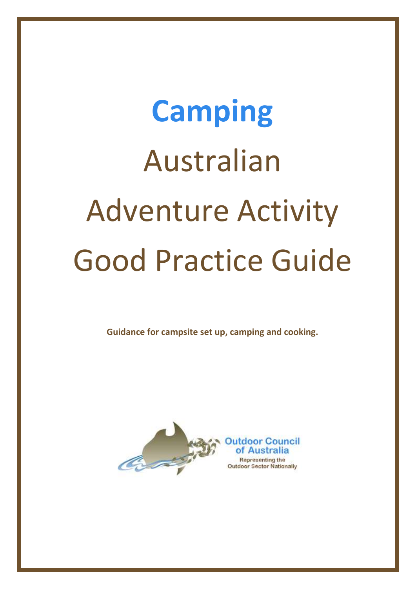# **Camping** Australian Adventure Activity Good Practice Guide

**Guidance for campsite set up, camping and cooking.**

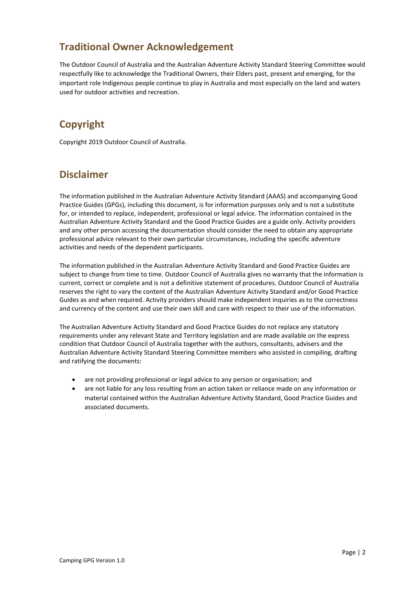### **Traditional Owner Acknowledgement**

The Outdoor Council of Australia and the Australian Adventure Activity Standard Steering Committee would respectfully like to acknowledge the Traditional Owners, their Elders past, present and emerging, for the important role Indigenous people continue to play in Australia and most especially on the land and waters used for outdoor activities and recreation.

### **Copyright**

Copyright 2019 Outdoor Council of Australia.

### **Disclaimer**

The information published in the Australian Adventure Activity Standard (AAAS) and accompanying Good Practice Guides (GPGs), including this document, is for information purposes only and is not a substitute for, or intended to replace, independent, professional or legal advice. The information contained in the Australian Adventure Activity Standard and the Good Practice Guides are a guide only. Activity providers and any other person accessing the documentation should consider the need to obtain any appropriate professional advice relevant to their own particular circumstances, including the specific adventure activities and needs of the dependent participants.

The information published in the Australian Adventure Activity Standard and Good Practice Guides are subject to change from time to time. Outdoor Council of Australia gives no warranty that the information is current, correct or complete and is not a definitive statement of procedures. Outdoor Council of Australia reserves the right to vary the content of the Australian Adventure Activity Standard and/or Good Practice Guides as and when required. Activity providers should make independent inquiries as to the correctness and currency of the content and use their own skill and care with respect to their use of the information.

The Australian Adventure Activity Standard and Good Practice Guides do not replace any statutory requirements under any relevant State and Territory legislation and are made available on the express condition that Outdoor Council of Australia together with the authors, consultants, advisers and the Australian Adventure Activity Standard Steering Committee members who assisted in compiling, drafting and ratifying the documents:

- are not providing professional or legal advice to any person or organisation; and
- are not liable for any loss resulting from an action taken or reliance made on any information or material contained within the Australian Adventure Activity Standard, Good Practice Guides and associated documents.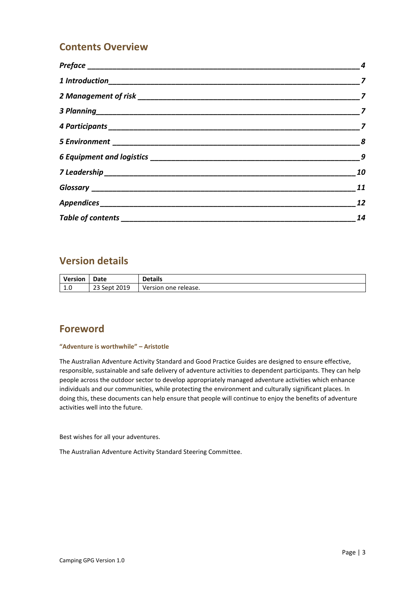#### **Contents Overview**

|                               | 8              |
|-------------------------------|----------------|
|                               | $\overline{9}$ |
|                               | 10             |
|                               | 11             |
|                               | 12             |
| Table of contents ___________ | 14             |

#### **Version details**

| <b>Version</b>       | Date         | <b>Details</b>       |
|----------------------|--------------|----------------------|
| $\sim$<br><b>L.U</b> | 23 Sept 2019 | Version one release. |

#### **Foreword**

#### **"Adventure is worthwhile" – Aristotle**

The Australian Adventure Activity Standard and Good Practice Guides are designed to ensure effective, responsible, sustainable and safe delivery of adventure activities to dependent participants. They can help people across the outdoor sector to develop appropriately managed adventure activities which enhance individuals and our communities, while protecting the environment and culturally significant places. In doing this, these documents can help ensure that people will continue to enjoy the benefits of adventure activities well into the future.

Best wishes for all your adventures.

The Australian Adventure Activity Standard Steering Committee.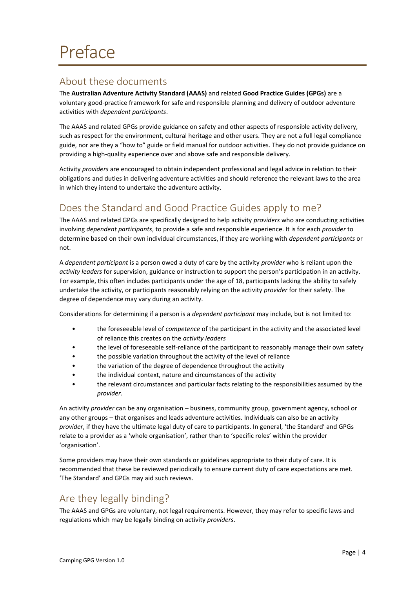#### <span id="page-3-1"></span><span id="page-3-0"></span>About these documents

The **Australian Adventure Activity Standard (AAAS)** and related **Good Practice Guides (GPGs)** are a voluntary good-practice framework for safe and responsible planning and delivery of outdoor adventure activities with *dependent participants*.

The AAAS and related GPGs provide guidance on safety and other aspects of responsible activity delivery, such as respect for the environment, cultural heritage and other users. They are not a full legal compliance guide, nor are they a "how to" guide or field manual for outdoor activities. They do not provide guidance on providing a high-quality experience over and above safe and responsible delivery.

Activity *providers* are encouraged to obtain independent professional and legal advice in relation to their obligations and duties in delivering adventure activities and should reference the relevant laws to the area in which they intend to undertake the adventure activity.

### <span id="page-3-2"></span>Does the Standard and Good Practice Guides apply to me?

The AAAS and related GPGs are specifically designed to help activity *providers* who are conducting activities involving *dependent participants*, to provide a safe and responsible experience. It is for each *provider* to determine based on their own individual circumstances, if they are working with *dependent participants* or not.

A *dependent participant* is a person owed a duty of care by the activity *provider* who is reliant upon the *activity leaders* for supervision, guidance or instruction to support the person's participation in an activity. For example, this often includes participants under the age of 18, participants lacking the ability to safely undertake the activity, or participants reasonably relying on the activity *provider* for their safety. The degree of dependence may vary during an activity.

Considerations for determining if a person is a *dependent participant* may include, but is not limited to:

- the foreseeable level of *competence* of the participant in the activity and the associated level of reliance this creates on the *activity leaders*
- the level of foreseeable self-reliance of the participant to reasonably manage their own safety
- the possible variation throughout the activity of the level of reliance
- the variation of the degree of dependence throughout the activity
- the individual context, nature and circumstances of the activity
- the relevant circumstances and particular facts relating to the responsibilities assumed by the *provider*.

An activity *provider* can be any organisation – business, community group, government agency, school or any other groups – that organises and leads adventure activities. Individuals can also be an activity *provider*, if they have the ultimate legal duty of care to participants. In general, 'the Standard' and GPGs relate to a provider as a 'whole organisation', rather than to 'specific roles' within the provider 'organisation'.

Some providers may have their own standards or guidelines appropriate to their duty of care. It is recommended that these be reviewed periodically to ensure current duty of care expectations are met. 'The Standard' and GPGs may aid such reviews.

### <span id="page-3-3"></span>Are they legally binding?

The AAAS and GPGs are voluntary, not legal requirements. However, they may refer to specific laws and regulations which may be legally binding on activity *providers*.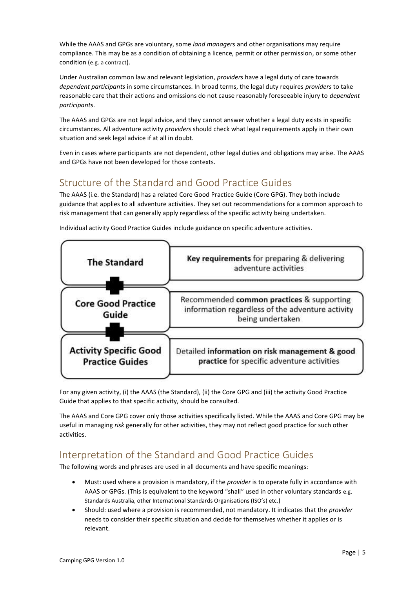While the AAAS and GPGs are voluntary, some *land manager*s and other organisations may require compliance. This may be as a condition of obtaining a licence, permit or other permission, or some other condition (e.g. a contract).

Under Australian common law and relevant legislation, *providers* have a legal duty of care towards *dependent participants* in some circumstances. In broad terms, the legal duty requires *providers* to take reasonable care that their actions and omissions do not cause reasonably foreseeable injury to *dependent participants*.

The AAAS and GPGs are not legal advice, and they cannot answer whether a legal duty exists in specific circumstances. All adventure activity *providers* should check what legal requirements apply in their own situation and seek legal advice if at all in doubt.

Even in cases where participants are not dependent, other legal duties and obligations may arise. The AAAS and GPGs have not been developed for those contexts.

### <span id="page-4-0"></span>Structure of the Standard and Good Practice Guides

The AAAS (i.e. the Standard) has a related Core Good Practice Guide (Core GPG). They both include guidance that applies to all adventure activities. They set out recommendations for a common approach to risk management that can generally apply regardless of the specific activity being undertaken.



Individual activity Good Practice Guides include guidance on specific adventure activities.

For any given activity, (i) the AAAS (the Standard), (ii) the Core GPG and (iii) the activity Good Practice Guide that applies to that specific activity, should be consulted.

The AAAS and Core GPG cover only those activities specifically listed. While the AAAS and Core GPG may be useful in managing *risk* generally for other activities, they may not reflect good practice for such other activities.

### <span id="page-4-1"></span>Interpretation of the Standard and Good Practice Guides

The following words and phrases are used in all documents and have specific meanings:

- Must: used where a provision is mandatory, if the *provider* is to operate fully in accordance with AAAS or GPGs. (This is equivalent to the keyword "shall" used in other voluntary standards e.g. Standards Australia, other International Standards Organisations (ISO's) etc.)
- Should: used where a provision is recommended, not mandatory. It indicates that the *provider* needs to consider their specific situation and decide for themselves whether it applies or is relevant.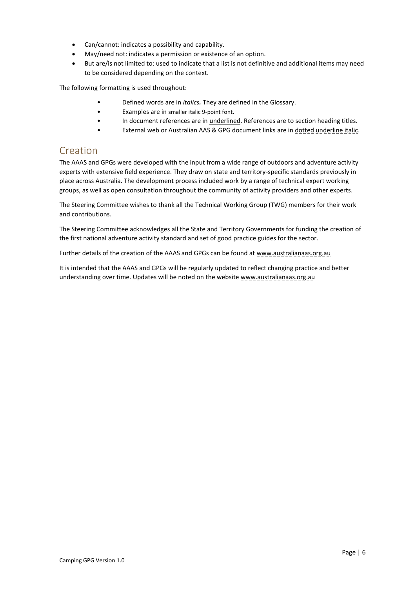- Can/cannot: indicates a possibility and capability.
- May/need not: indicates a permission or existence of an option.
- But are/is not limited to: used to indicate that a list is not definitive and additional items may need to be considered depending on the context.

The following formatting is used throughout:

- Defined words are in *italics.* They are defined in the [Glossary.](#page-10-0)
- Examples are in smaller italic 9-point font.
- In document references are in underlined. References are to section heading titles.
- External web or Australian AAS & GPG document links are in dotted underline italic.

#### <span id="page-5-0"></span>Creation

The AAAS and GPGs were developed with the input from a wide range of outdoors and adventure activity experts with extensive field experience. They draw on state and territory-specific standards previously in place across Australia. The development process included work by a range of technical expert working groups, as well as open consultation throughout the community of activity providers and other experts.

The Steering Committee wishes to thank all the Technical Working Group (TWG) members for their work and contributions.

The Steering Committee acknowledges all the State and Territory Governments for funding the creation of the first national adventure activity standard and set of good practice guides for the sector.

Further details of the creation of the AAAS and GPGs can be found at www.australianaas.org.au

It is intended that the AAAS and GPGs will be regularly updated to reflect changing practice and better understanding over time. Updates will be noted on the website www.australianaas.org.au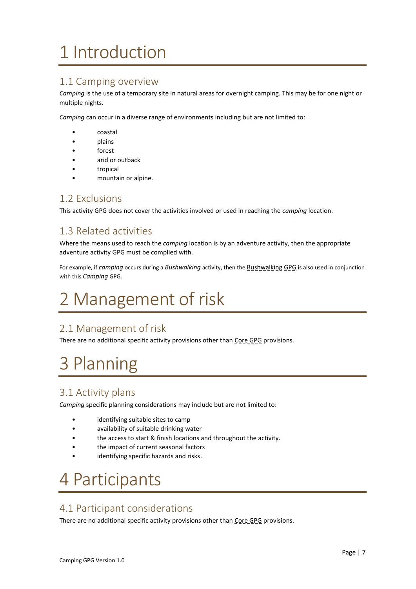# <span id="page-6-0"></span>1 Introduction

#### <span id="page-6-4"></span>1.1 Camping overview

*Camping* is the use of a temporary site in natural areas for overnight camping. This may be for one night or multiple nights.

*Camping* can occur in a diverse range of environments including but are not limited to:

- coastal
- plains
- forest
- arid or outback
- tropical
- mountain or alpine.

#### <span id="page-6-5"></span>1.2 Exclusions

This activity GPG does not cover the activities involved or used in reaching the *camping* location.

#### <span id="page-6-6"></span>1.3 Related activities

Where the means used to reach the *camping* location is by an adventure activity, then the appropriate adventure activity GPG must be complied with.

For example, if *camping* occurs during a *Bushwalking* activity, then the Bushwalking GPG is also used in conjunction with this *Camping* GPG.

# <span id="page-6-1"></span>2 Management of risk

#### <span id="page-6-7"></span>2.1 Management of risk

There are no additional specific activity provisions other than Core GPG provisions.

# <span id="page-6-2"></span>3 Planning

#### <span id="page-6-8"></span>3.1 Activity plans

*Camping* specific planning considerations may include but are not limited to:

- identifying suitable sites to camp
- availability of suitable drinking water
- the access to start & finish locations and throughout the activity.
- the impact of current seasonal factors
- identifying specific hazards and risks.

# <span id="page-6-3"></span>4 Participants

#### <span id="page-6-9"></span>4.1 Participant considerations

There are no additional specific activity provisions other than Core GPG provisions.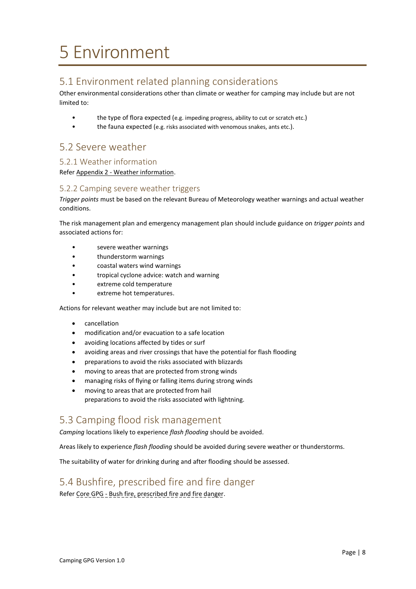# <span id="page-7-0"></span>5 Environment

### <span id="page-7-1"></span>5.1 Environment related planning considerations

Other environmental considerations other than climate or weather for camping may include but are not limited to:

- the type of flora expected (e.g. impeding progress, ability to cut or scratch etc.)
- the fauna expected (e.g. risks associated with venomous snakes, ants etc.).

#### <span id="page-7-2"></span>5.2 Severe weather

#### <span id="page-7-3"></span>5.2.1 Weather information

Refer Appendix 2 - [Weather information.](#page-12-0)

#### <span id="page-7-4"></span>5.2.2 Camping severe weather triggers

*Trigger points* must be based on the relevant Bureau of Meteorology weather warnings and actual weather conditions.

The risk management plan and emergency management plan should include guidance on *trigger points* and associated actions for:

- severe weather warnings
- thunderstorm warnings
- coastal waters wind warnings
- tropical cyclone advice: watch and warning
- extreme cold temperature
- extreme hot temperatures.

Actions for relevant weather may include but are not limited to:

- cancellation
- modification and/or evacuation to a safe location
- avoiding locations affected by tides or surf
- avoiding areas and river crossings that have the potential for flash flooding
- preparations to avoid the risks associated with blizzards
- moving to areas that are protected from strong winds
- managing risks of flying or falling items during strong winds
- moving to areas that are protected from hail preparations to avoid the risks associated with lightning.

#### <span id="page-7-5"></span>5.3 Camping flood risk management

*Camping* locations likely to experience *flash flooding* should be avoided.

Areas likely to experience *flash flooding* should be avoided during severe weather or thunderstorms.

The suitability of water for drinking during and after flooding should be assessed.

#### <span id="page-7-6"></span>5.4 Bushfire, prescribed fire and fire danger

Refer Core GPG - Bush fire, prescribed fire and fire danger.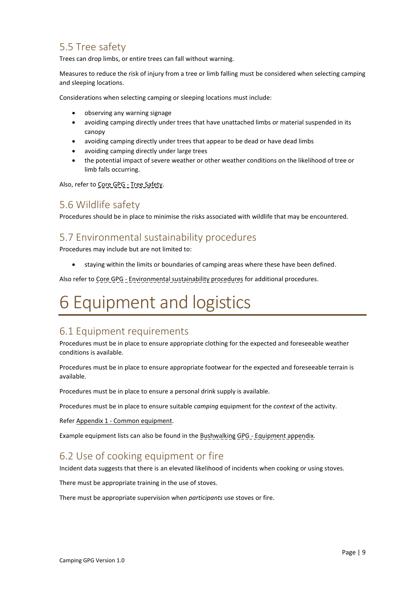#### <span id="page-8-1"></span>5.5 Tree safety

Trees can drop limbs, or entire trees can fall without warning.

Measures to reduce the risk of injury from a tree or limb falling must be considered when selecting camping and sleeping locations.

Considerations when selecting camping or sleeping locations must include:

- observing any warning signage
- avoiding camping directly under trees that have unattached limbs or material suspended in its canopy
- avoiding camping directly under trees that appear to be dead or have dead limbs
- avoiding camping directly under large trees
- the potential impact of severe weather or other weather conditions on the likelihood of tree or limb falls occurring.

Also, refer to Core GPG - Tree Safety.

#### <span id="page-8-2"></span>5.6 Wildlife safety

Procedures should be in place to minimise the risks associated with wildlife that may be encountered.

#### <span id="page-8-3"></span>5.7 Environmental sustainability procedures

Procedures may include but are not limited to:

• staying within the limits or boundaries of camping areas where these have been defined.

Also refer to Core GPG - Environmental sustainability procedures for additional procedures.

# <span id="page-8-0"></span>6 Equipment and logistics

#### <span id="page-8-4"></span>6.1 Equipment requirements

Procedures must be in place to ensure appropriate clothing for the expected and foreseeable weather conditions is available.

Procedures must be in place to ensure appropriate footwear for the expected and foreseeable terrain is available.

Procedures must be in place to ensure a personal drink supply is available.

Procedures must be in place to ensure suitable *camping* equipment for the *context* of the activity.

Refer Appendix 1 - [Common equipment.](#page-11-1)

Example equipment lists can also be found in the Bushwalking GPG - Equipment appendix.

#### <span id="page-8-5"></span>6.2 Use of cooking equipment or fire

Incident data suggests that there is an elevated likelihood of incidents when cooking or using stoves.

There must be appropriate training in the use of stoves.

There must be appropriate supervision when *participants* use stoves or fire.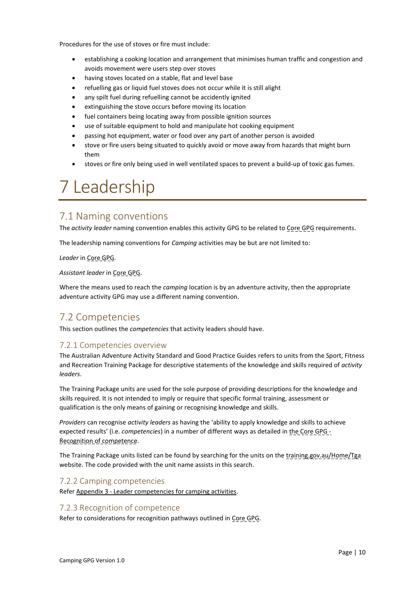Procedures for the use of stoves or fire must include:

- establishing a cooking location and arrangement that minimises human traffic and congestion and avoids movement were users step over stoves
- having stoves located on a stable, flat and level base
- refuelling gas or liquid fuel stoves does not occur while it is still alight
- any spilt fuel during refuelling cannot be accidently ignited
- extinguishing the stove occurs before moving its location
- fuel containers being locating away from possible ignition sources
- use of suitable equipment to hold and manipulate hot cooking equipment
- passing hot equipment, water or food over any part of another person is avoided
- stove or fire users being situated to quickly avoid or move away from hazards that might burn them
- stoves or fire only being used in well ventilated spaces to prevent a build-up of toxic gas fumes.

## <span id="page-9-0"></span>7 Leadership

#### <span id="page-9-1"></span>7.1 Naming conventions

The *activity leader* naming convention enables this activity GPG to be related to Core GPG requirements.

The leadership naming conventions for *Camping* activities may be but are not limited to:

*Leader* in Core GPG.

*Assistant leader* in Core GPG.

Where the means used to reach the *camping* location is by an adventure activity, then the appropriate adventure activity GPG may use a different naming convention.

#### <span id="page-9-2"></span>7.2 Competencies

This section outlines the *competencies* that activity leaders should have.

#### <span id="page-9-3"></span>7.2.1 Competencies overview

The Australian Adventure Activity Standard and Good Practice Guides refers to units from the Sport, Fitness and Recreation Training Package for descriptive statements of the knowledge and skills required of *activity leaders*.

The Training Package units are used for the sole purpose of providing descriptions for the knowledge and skills required. It is not intended to imply or require that specific formal training, assessment or qualification is the only means of gaining or recognising knowledge and skills.

*Providers* can recognise *activity leaders* as having the 'ability to apply knowledge and skills to achieve expected results' (i.e. *competencies*) in a number of different ways as detailed in the Core GPG - Recognition of competence.

The Training Package units listed can be found by searching for the units on the training.gov.au/Home/Tga website. The code provided with the unit name assists in this search.

#### <span id="page-9-4"></span>7.2.2 Camping competencies

Refer Appendix 3 - [Leader competencies for camping activities.](#page-13-1)

#### <span id="page-9-5"></span>7.2.3 Recognition of competence

Refer to considerations for recognition pathways outlined in Core GPG.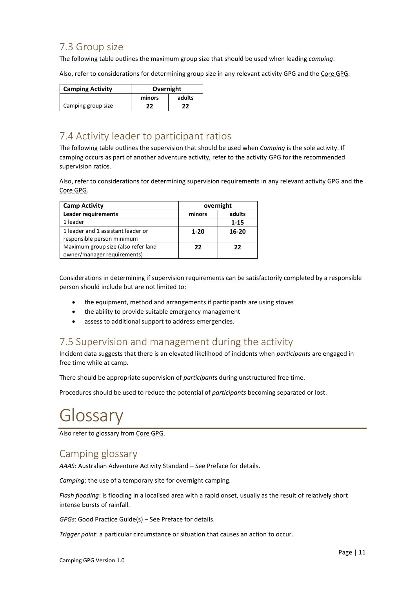#### <span id="page-10-1"></span>7.3 Group size

The following table outlines the maximum group size that should be used when leading *camping*.

Also, refer to considerations for determining group size in any relevant activity GPG and the Core GPG.

| <b>Camping Activity</b> | Overnight |        |
|-------------------------|-----------|--------|
|                         | minors    | adults |
| Camping group size      | 77        | 72     |

### <span id="page-10-2"></span>7.4 Activity leader to participant ratios

The following table outlines the supervision that should be used when *Camping* is the sole activity. If camping occurs as part of another adventure activity, refer to the activity GPG for the recommended supervision ratios.

Also, refer to considerations for determining supervision requirements in any relevant activity GPG and the Core GPG.

| <b>Camp Activity</b>                | overnight |           |
|-------------------------------------|-----------|-----------|
| <b>Leader requirements</b>          | minors    | adults    |
| 1 leader                            |           | $1 - 15$  |
| 1 leader and 1 assistant leader or  | $1 - 20$  | $16 - 20$ |
| responsible person minimum          |           |           |
| Maximum group size (also refer land | 22        | 22        |
| owner/manager requirements)         |           |           |

Considerations in determining if supervision requirements can be satisfactorily completed by a responsible person should include but are not limited to:

- the equipment, method and arrangements if participants are using stoves
- the ability to provide suitable emergency management
- assess to additional support to address emergencies.

#### <span id="page-10-3"></span>7.5 Supervision and management during the activity

Incident data suggests that there is an elevated likelihood of incidents when *participants* are engaged in free time while at camp.

There should be appropriate supervision of *participant*s during unstructured free time.

Procedures should be used to reduce the potential of *participants* becoming separated or lost.

# <span id="page-10-0"></span>Glossary

Also refer to glossary from Core GPG.

#### <span id="page-10-4"></span>Camping glossary

*AAAS*: Australian Adventure Activity Standard – See Preface for details.

*Camping*: the use of a temporary site for overnight camping.

*Flash flooding*: is flooding in a localised area with a rapid onset, usually as the result of relatively short intense bursts of rainfall.

*GPGs*: Good Practice Guide(s) – See Preface for details.

*Trigger point*: a particular circumstance or situation that causes an action to occur.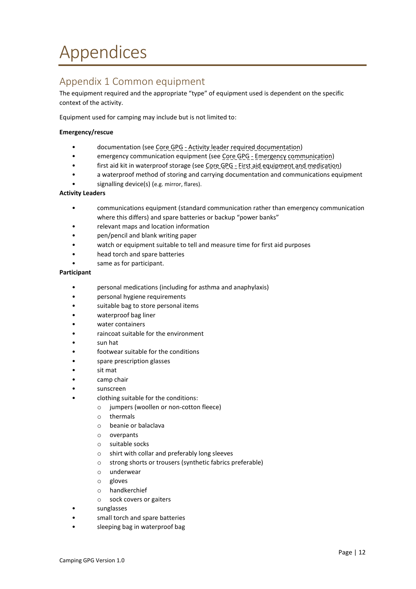# <span id="page-11-0"></span>Appendices

#### <span id="page-11-1"></span>Appendix 1 Common equipment

The equipment required and the appropriate "type" of equipment used is dependent on the specific context of the activity.

Equipment used for camping may include but is not limited to:

#### **Emergency/rescue**

- documentation (see Core GPG Activity leader required documentation)
- emergency communication equipment (see Core GPG Emergency communication)
- first aid kit in waterproof storage (see Core GPG First aid equipment and medication)
- a waterproof method of storing and carrying documentation and communications equipment
- signalling device(s) (e.g. mirror, flares).

#### **Activity Leaders**

- communications equipment (standard communication rather than emergency communication where this differs) and spare batteries or backup "power banks"
- relevant maps and location information
- pen/pencil and blank writing paper
- watch or equipment suitable to tell and measure time for first aid purposes
- head torch and spare batteries
- same as for participant.

#### **Participant**

- personal medications (including for asthma and anaphylaxis)
- personal hygiene requirements
- suitable bag to store personal items
- waterproof bag liner
- water containers
- raincoat suitable for the environment
- sun hat
- footwear suitable for the conditions
- spare prescription glasses
- sit mat
- camp chair
- sunscreen
- clothing suitable for the conditions:
	- o jumpers (woollen or non-cotton fleece)
	- o thermals
	- o beanie or balaclava
	- o overpants
	- o suitable socks
	- o shirt with collar and preferably long sleeves
	- o strong shorts or trousers (synthetic fabrics preferable)
	- o underwear
	- o gloves
	- o handkerchief
	- o sock covers or gaiters
- sunglasses
- small torch and spare batteries
- sleeping bag in waterproof bag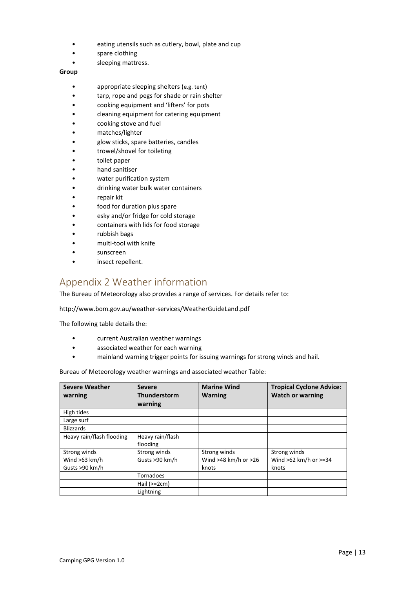- eating utensils such as cutlery, bowl, plate and cup
- spare clothing
- sleeping mattress.

#### **Group**

- appropriate sleeping shelters (e.g. tent)
- tarp, rope and pegs for shade or rain shelter
- cooking equipment and 'lifters' for pots
- cleaning equipment for catering equipment
- cooking stove and fuel
- matches/lighter
- glow sticks, spare batteries, candles
- trowel/shovel for toileting
- toilet paper
- hand sanitiser
- water purification system
- drinking water bulk water containers
- repair kit
- food for duration plus spare
- esky and/or fridge for cold storage
- containers with lids for food storage
- rubbish bags
- multi-tool with knife
- sunscreen
- insect repellent.

#### <span id="page-12-0"></span>Appendix 2 Weather information

The Bureau of Meteorology also provides a range of services. For details refer to:

http://www.bom.gov.au/weather-services/WeatherGuideLand.pdf

The following table details the:

- current Australian weather warnings
- associated weather for each warning
- mainland warning trigger points for issuing warnings for strong winds and hail.

Bureau of Meteorology weather warnings and associated weather Table:

| <b>Severe Weather</b><br>warning                  | <b>Severe</b><br>Thunderstorm<br>warning | <b>Marine Wind</b><br><b>Warning</b>              | <b>Tropical Cyclone Advice:</b><br><b>Watch or warning</b> |
|---------------------------------------------------|------------------------------------------|---------------------------------------------------|------------------------------------------------------------|
| High tides                                        |                                          |                                                   |                                                            |
| Large surf                                        |                                          |                                                   |                                                            |
| <b>Blizzards</b>                                  |                                          |                                                   |                                                            |
| Heavy rain/flash flooding                         | Heavy rain/flash<br>flooding             |                                                   |                                                            |
| Strong winds<br>Wind $>63$ km/h<br>Gusts >90 km/h | Strong winds<br>Gusts >90 km/h           | Strong winds<br>Wind $>48$ km/h or $>26$<br>knots | Strong winds<br>Wind $>62$ km/h or $>=34$<br>knots         |
|                                                   | Tornadoes                                |                                                   |                                                            |
|                                                   | Hail $(>=2cm)$                           |                                                   |                                                            |
|                                                   | Lightning                                |                                                   |                                                            |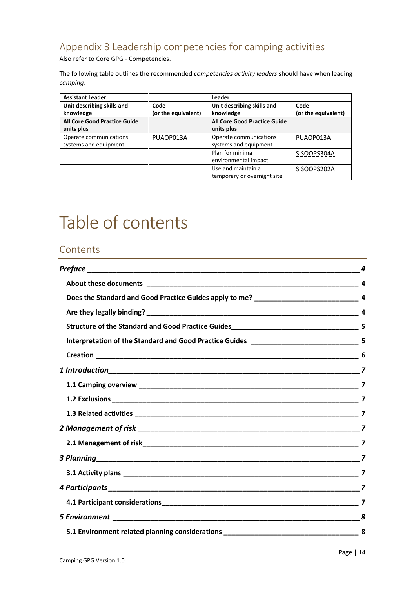### <span id="page-13-1"></span>Appendix 3 Leadership competencies for camping activities

Also refer to Core GPG - Competencies.

The following table outlines the recommended *competencies activity leaders* should have when leading *camping*.

| <b>Assistant Leader</b>      |                     | Leader                       |                     |
|------------------------------|---------------------|------------------------------|---------------------|
| Unit describing skills and   | Code                | Unit describing skills and   | Code                |
| knowledge                    | (or the equivalent) | knowledge                    | (or the equivalent) |
| All Core Good Practice Guide |                     | All Core Good Practice Guide |                     |
| units plus                   |                     | units plus                   |                     |
| Operate communications       | PUAOP013A           | Operate communications       | PUAOP013A           |
| systems and equipment        |                     | systems and equipment        |                     |
|                              |                     | Plan for minimal             | SISOOPS304A         |
|                              |                     | environmental impact         |                     |
|                              |                     | Use and maintain a           | SISOOPS202A         |
|                              |                     | temporary or overnight site  |                     |

# <span id="page-13-0"></span>Table of contents

#### **Contents**

|                                                                                  | 4 |
|----------------------------------------------------------------------------------|---|
|                                                                                  |   |
|                                                                                  |   |
|                                                                                  |   |
|                                                                                  |   |
|                                                                                  |   |
|                                                                                  |   |
|                                                                                  |   |
|                                                                                  |   |
|                                                                                  |   |
|                                                                                  |   |
|                                                                                  |   |
|                                                                                  |   |
|                                                                                  |   |
|                                                                                  |   |
|                                                                                  |   |
|                                                                                  |   |
|                                                                                  | 8 |
| 5.1 Environment related planning considerations ________________________________ | 8 |